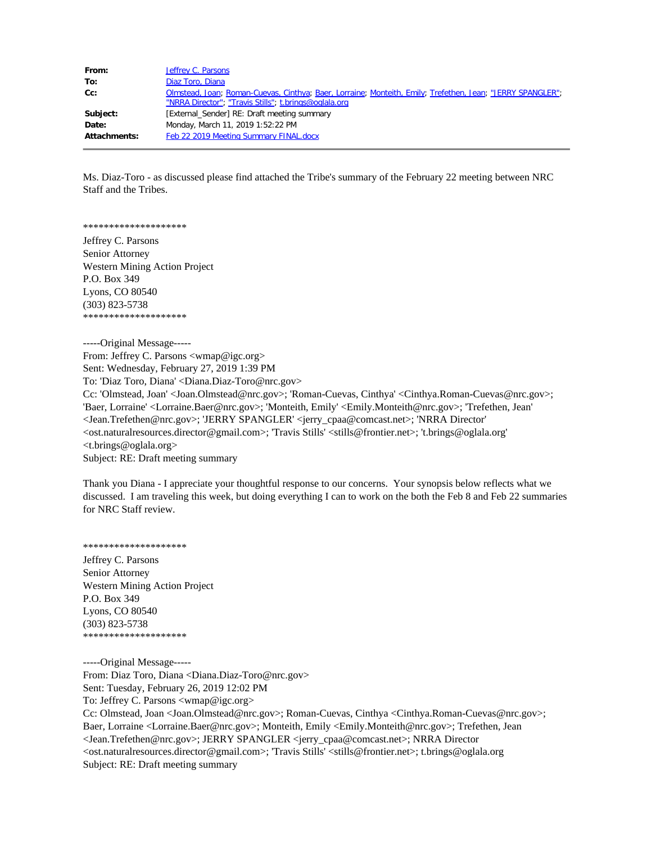| From:        | <b>Jeffrey C. Parsons</b>                                                                                                                                           |
|--------------|---------------------------------------------------------------------------------------------------------------------------------------------------------------------|
| To:          | Diaz Toro, Diana                                                                                                                                                    |
| Cc:          | Olmstead, Joan; Roman-Cuevas, Cinthya; Baer, Lorraine; Monteith, Emily; Trefethen, Jean; "JERRY SPANGLER";<br>"NRRA Director"; "Travis Stills"; t.brings@oglala.org |
| Subject:     | [External_Sender] RE: Draft meeting summary                                                                                                                         |
| Date:        | Monday, March 11, 2019 1:52:22 PM                                                                                                                                   |
| Attachments: | Feb 22 2019 Meeting Summary FINAL.docx                                                                                                                              |

Ms. Diaz-Toro - as discussed please find attached the Tribe's summary of the February 22 meeting between NRC Staff and the Tribes.

\*\*\*\*\*\*\*\*\*\*\*\*\*\*\*\*\*\*\*\*

Jeffrey C. Parsons Senior Attorney Western Mining Action Project P.O. Box 349 Lyons, CO 80540 (303) 823-5738 \*\*\*\*\*\*\*\*\*\*\*\*\*\*\*\*\*\*\*\*

-----Original Message----- From: Jeffrey C. Parsons <wmap@igc.org> Sent: Wednesday, February 27, 2019 1:39 PM To: 'Diaz Toro, Diana' <Diana.Diaz-Toro@nrc.gov> Cc: 'Olmstead, Joan' <Joan.Olmstead@nrc.gov>; 'Roman-Cuevas, Cinthya' <Cinthya.Roman-Cuevas@nrc.gov>; 'Baer, Lorraine' <Lorraine.Baer@nrc.gov>; 'Monteith, Emily' <Emily.Monteith@nrc.gov>; 'Trefethen, Jean' <Jean.Trefethen@nrc.gov>; 'JERRY SPANGLER' <jerry\_cpaa@comcast.net>; 'NRRA Director' <ost.naturalresources.director@gmail.com>; 'Travis Stills' <stills@frontier.net>; 't.brings@oglala.org' <t.brings@oglala.org> Subject: RE: Draft meeting summary

Thank you Diana - I appreciate your thoughtful response to our concerns. Your synopsis below reflects what we discussed. I am traveling this week, but doing everything I can to work on the both the Feb 8 and Feb 22 summaries for NRC Staff review.

\*\*\*\*\*\*\*\*\*\*\*\*\*\*\*\*\*\*\*\*

Jeffrey C. Parsons Senior Attorney Western Mining Action Project P.O. Box 349 Lyons, CO 80540 (303) 823-5738 \*\*\*\*\*\*\*\*\*\*\*\*\*\*\*\*\*\*\*\*

-----Original Message-----

From: Diaz Toro, Diana <Diana.Diaz-Toro@nrc.gov> Sent: Tuesday, February 26, 2019 12:02 PM To: Jeffrey C. Parsons <wmap@igc.org>

Cc: Olmstead, Joan <Joan.Olmstead@nrc.gov>; Roman-Cuevas, Cinthya <Cinthya.Roman-Cuevas@nrc.gov>; Baer, Lorraine <Lorraine.Baer@nrc.gov>; Monteith, Emily <Emily.Monteith@nrc.gov>; Trefethen, Jean <Jean.Trefethen@nrc.gov>; JERRY SPANGLER <jerry\_cpaa@comcast.net>; NRRA Director <ost.naturalresources.director@gmail.com>; 'Travis Stills' <stills@frontier.net>; t.brings@oglala.org Subject: RE: Draft meeting summary